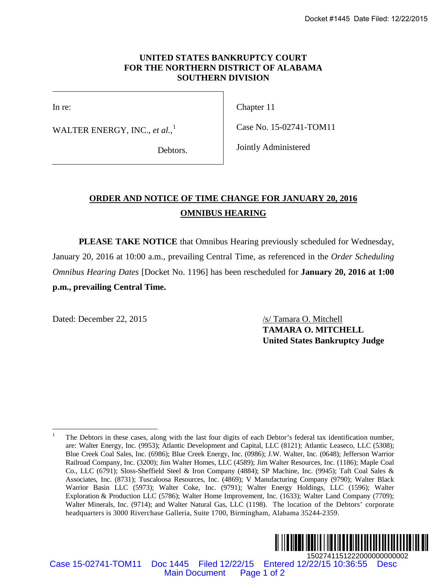## **UNITED STATES BANKRUPTCY COURT FOR THE NORTHERN DISTRICT OF ALABAMA SOUTHERN DIVISION**

In re:

WALTER ENERGY, INC., *et al.*, [1](#page-0-0)

Chapter 11

Case No. 15-02741-TOM11

Debtors.

Jointly Administered

## **ORDER AND NOTICE OF TIME CHANGE FOR JANUARY 20, 2016 OMNIBUS HEARING**

**PLEASE TAKE NOTICE** that Omnibus Hearing previously scheduled for Wednesday, January 20, 2016 at 10:00 a.m., prevailing Central Time, as referenced in the *Order Scheduling Omnibus Hearing Dates* [Docket No. 1196] has been rescheduled for **January 20, 2016 at 1:00 p.m., prevailing Central Time.**

<span id="page-0-0"></span>Dated: December 22, 2015 /s/ Tamara O. Mitchell

**TAMARA O. MITCHELL United States Bankruptcy Judge**

<sup>&</sup>lt;sup>1</sup> The Debtors in these cases, along with the last four digits of each Debtor's federal tax identification number, are: Walter Energy, Inc. (9953); Atlantic Development and Capital, LLC (8121); Atlantic Leaseco, LLC (5308); Blue Creek Coal Sales, Inc. (6986); Blue Creek Energy, Inc. (0986); J.W. Walter, Inc. (0648); Jefferson Warrior Railroad Company, Inc. (3200); Jim Walter Homes, LLC (4589); Jim Walter Resources, Inc. (1186); Maple Coal Co., LLC (6791); Sloss-Sheffield Steel & Iron Company (4884); SP Machine, Inc. (9945); Taft Coal Sales & Associates, Inc. (8731); Tuscaloosa Resources, Inc. (4869); V Manufacturing Company (9790); Walter Black Warrior Basin LLC (5973); Walter Coke, Inc. (9791); Walter Energy Holdings, LLC (1596); Walter Exploration & Production LLC (5786); Walter Home Improvement, Inc. (1633); Walter Land Company (7709); Walter Minerals, Inc. (9714); and Walter Natural Gas, LLC (1198). The location of the Debtors' corporate headquarters is 3000 Riverchase Galleria, Suite 1700, Birmingham, Alabama 35244-2359. Docket #1445 Date Filed: 12/22/2015<br>
MO STATES BANKRUPTCY COURT<br>
MONTHERN DISTRICT OF ALABAMA<br>
SOUTHERN DIVISION<br>
Chapter 11<br>
Case No. 15-02741-TOM11<br>
Debtors.<br>
Jointly Administered<br>
Debtors.<br>
Jointly Administered<br>
Debtor



Case 15-02741-TOM11 Doc 1445 Filed 12/22/15 Entered 12/22/15 10:36:55 Desc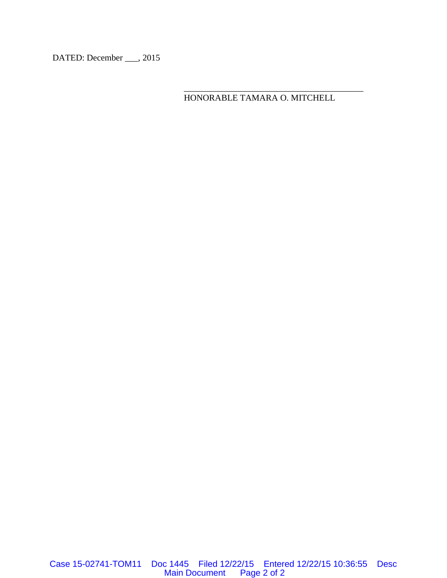DATED: December \_\_\_, 2015

HONORABLE TAMARA O. MITCHELL

\_\_\_\_\_\_\_\_\_\_\_\_\_\_\_\_\_\_\_\_\_\_\_\_\_\_\_\_\_\_\_\_\_\_\_\_\_\_\_\_\_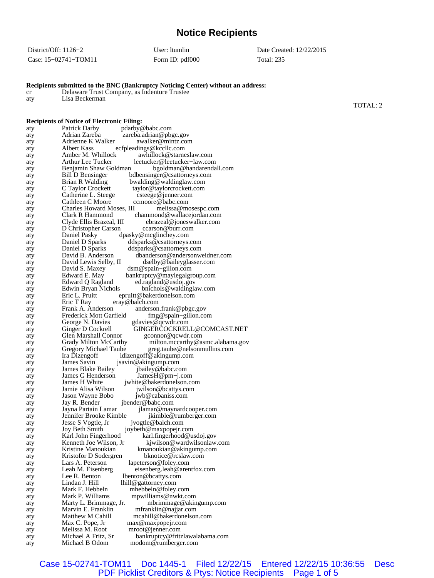## **Notice Recipients**

| District/Off: 1126–2 | User: Itumlin   | Date Created: 12/22/2015 |
|----------------------|-----------------|--------------------------|
| Case: 15–02741–TOM11 | Form ID: pdf000 | Total: 235               |

**Recipients submitted to the BNC (Bankruptcy Noticing Center) without an address:**

cr Delaware Trust Company, as Indenture Trustee

| aty        | Lisa Beckerman                                                                                    |          |
|------------|---------------------------------------------------------------------------------------------------|----------|
|            |                                                                                                   | TOTAL: 2 |
|            | <b>Recipients of Notice of Electronic Filing:</b>                                                 |          |
| aty        | Patrick Darby<br>pdarby@babc.com                                                                  |          |
| aty        | Adrian Zareba<br>zareba.adrian@pbgc.gov                                                           |          |
| aty        | Adrienne K Walker<br>awalker@mintz.com                                                            |          |
| aty        | Albert Kass<br>ecfpleadings@kccllc.com<br>Amber M. Whillock<br>awhillock@starneslaw.com           |          |
| aty<br>aty | Arthur Lee Tucker<br>leetucker@leetucker-law.com                                                  |          |
| aty        | Benjamin Shaw Goldman<br>bgoldman@handarendall.com                                                |          |
| aty        | <b>Bill D Bensinger</b><br>bdbensinger@csattorneys.com                                            |          |
| aty        | Brian R Walding<br>bwalding@waldinglaw.com                                                        |          |
| aty        | C Taylor Crockett<br>taylor@taylorcrockett.com<br>Catherine L. Steege<br>csteege@jenner.com       |          |
| aty<br>aty | Cathleen C Moore<br>ccmoore@babc.com                                                              |          |
| aty        | Charles Howard Moses, III<br>melissa@mosespc.com                                                  |          |
| aty        | Clark R Hammond<br>chammond@wallacejordan.com                                                     |          |
| aty        | Clyde Ellis Brazeal, III<br>ebrazeal@joneswalker.com                                              |          |
| aty        | D Christopher Carson<br>ccarson@burr.com<br>Daniel Pasky                                          |          |
| aty<br>aty | dpasky@mcglinchey.com<br>Daniel D Sparks<br>ddsparks@csattorneys.com                              |          |
| aty        | Daniel D Sparks<br>ddsparks@csattorneys.com                                                       |          |
| aty        | David B. Anderson<br>dbanderson@andersonweidner.com                                               |          |
| aty        | David Lewis Selby, II<br>dselby@baileyglasser.com                                                 |          |
| aty        | David S. Maxey<br>dsm@spain-gillon.com<br>bankruptcy@maylegalgroup.com<br>Edward E. May           |          |
| aty<br>aty | ed.ragland@usdoj.gov<br>Edward Q Ragland                                                          |          |
| aty        | Edwin Bryan Nichols<br>bnichols@waldinglaw.com                                                    |          |
| aty        | Eric L. Pruitt<br>epruitt@bakerdonelson.com                                                       |          |
| aty        | Eric T Ray<br>eray@balch.com                                                                      |          |
| aty        | Frank A. Anderson<br>anderson.frank@pbgc.gov<br>Frederick Mott Garfield                           |          |
| aty<br>aty | $fmg@spain-gillon.com$<br>George N. Davies<br>gdavies@qcwdr.com                                   |          |
| aty        | GINGERCOCKRELL@COMCAST.NET<br>Ginger D Cockrell                                                   |          |
| aty        | Glen Marshall Connor<br>gconnor@qcwdr.com                                                         |          |
| aty        | Grady Milton McCarthy<br>milton.mccarthy@asmc.alabama.gov                                         |          |
| aty        | Gregory Michael Taube<br>greg.taube@nelsonmullins.com<br>Ira Dizengoff<br>idizengoff@akingump.com |          |
| aty<br>aty | James Savin<br>jsavin@akingump.com                                                                |          |
| aty        | James Blake Bailey<br>jbailey@babc.com                                                            |          |
| aty        | James G Henderson<br>$James H@pm-i.com$                                                           |          |
| aty        | James H White<br>jwhite@bakerdonelson.com                                                         |          |
| aty        | Jamie Alisa Wilson<br>jwilson@bcattys.com<br>Jason Wayne Bobo<br>jwb@cabaniss.com                 |          |
| aty<br>aty | jbender@babc.com<br>Jay R. Bender                                                                 |          |
| aty        | Jayna Partain Lamar<br>jlamar@maynardcooper.com                                                   |          |
| aty        | Jennifer Brooke Kimble<br>jkimble@rumberger.com                                                   |          |
| aty        | Jesse S Vogtle, Jr<br>jvogtle@balch.com                                                           |          |
| aty<br>aty | Joy Beth Smith<br>joybeth@maxpopejr.com<br>karl.fingerhood@usdoj.gov<br>Karl John Fingerhood      |          |
| aty        | Kenneth Joe Wilson, Jr.<br>kjwilson@wardwilsonlaw.com                                             |          |
| aty        | Kristine Manoukian<br>kmanoukian@akingump.com                                                     |          |
| aty        | Kristofor D Sodergren<br>bknotice@rcslaw.com                                                      |          |
| aty        | Lars A. Peterson<br>lapeterson@foley.com                                                          |          |
| aty<br>aty | Leah M. Eisenberg<br>eisenberg.leah@arentfox.com<br>Lee R. Benton<br>lbenton@bcattys.com          |          |
| aty        | Lindan J. Hill<br>lhill@gattorney.com                                                             |          |
| aty        | Mark F. Hebbeln<br>mhebbeln@foley.com                                                             |          |
| aty        | Mark P. Williams<br>mpwilliams@nwkt.com                                                           |          |
| aty        | mbrimmage@akingump.com<br>Marty L. Brimmage, Jr.                                                  |          |
| aty        | Marvin E. Franklin<br>mfranklin@najjar.com<br>Matthew M Cahill                                    |          |
| aty<br>aty | mcahill@bakerdonelson.com<br>Max C. Pope, Jr<br>max@maxpopejr.com                                 |          |
| aty        | Melissa M. Root<br>mroot@jenner.com                                                               |          |
| aty        | Michael A Fritz, Sr<br>bankruptcy@fritzlawalabama.com                                             |          |
| aty        | Michael B Odom<br>modom@rumberger.com                                                             |          |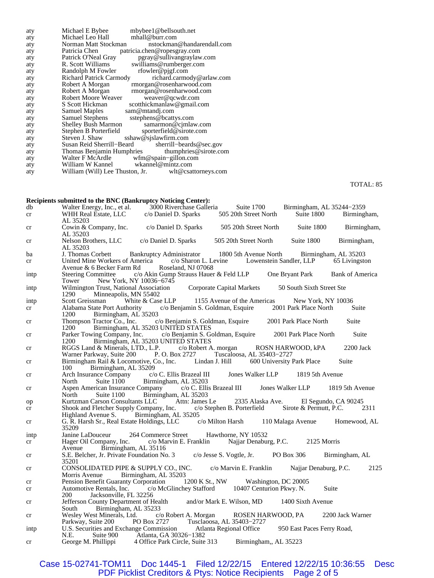| aty | Michael E Bybee<br>mbybee1@bellsouth.net             |
|-----|------------------------------------------------------|
| aty | Michael Leo Hall mhall@burr.com                      |
| aty | Norman Matt Stockman<br>nstockman@handarendall.com   |
| aty | Patricia Chen<br>patricia.chen@ropesgray.com         |
| aty | pgray@sullivangraylaw.com<br>Patrick O'Neal Gray     |
| aty | R. Scott Williams<br>swilliams@rumberger.com         |
| aty | rfowler@pjgf.com<br>Randolph M Fowler                |
| aty | Richard Patrick Carmody<br>richard.carmody@arlaw.com |
| aty | Robert A Morgan<br>rmorgan@rosenharwood.com          |
| aty | Robert A Morgan<br>rmorgan@rosenharwood.com          |
| aty | Robert Moore Weaver<br>weaver@qcwdr.com              |
| aty | S Scott Hickman<br>scotthickmanlaw@gmail.com         |
| aty | Samuel Maples<br>sam@mtandj.com                      |
| aty | Samuel Stephens sstephens@bcattys.com                |
| aty | Shelley Bush Marmon samarmon@cjmlaw.com              |
| aty | Stephen B Porterfield sporterfield@sirote.com        |
| aty | Steven J. Shaw<br>sshaw@sjslawfirm.com               |
| aty | Susan Reid Sherrill-Beard sherrill-beards@sec.gov    |
| aty | Thomas Benjamin Humphries thumphries@sirote.com      |
| aty | Walter F McArdle wfm@spain-gillon.com                |
| aty | William W Kannel wkannel@mintz.com                   |
| aty | William (Will) Lee Thuston, Jr. wlt@csattorneys.com  |
|     |                                                      |

TOTAL: 85

|      | Recipients submitted to the BNC (Bankruptcy Noticing Center):                                                                                                                                                                      |                                    |  |       |
|------|------------------------------------------------------------------------------------------------------------------------------------------------------------------------------------------------------------------------------------|------------------------------------|--|-------|
| db   |                                                                                                                                                                                                                                    |                                    |  |       |
| cr   | Walter Energy, Inc., et al. 3000 Riverchase Galleria Suite 1700 Birmingham, AL 35244-2359<br>WHR Real Estate, LLC c/o Daniel D. Sparks 505 20th Street North Suite 1800 Birmingham,<br>AL 35203                                    |                                    |  |       |
| cr   | Cowin & Company, Inc. c/o Daniel D. Sparks 505 20th Street North Suite 1800 Birmingham,<br>AL 35203                                                                                                                                |                                    |  |       |
| cr   | Nelson Brothers, LLC c/o Daniel D. Sparks 505 20th Street North Suite 1800 Birmingham,<br>AL 35203                                                                                                                                 |                                    |  |       |
| ba   |                                                                                                                                                                                                                                    |                                    |  |       |
| cr   | J. Thomas Corbett Bankruptcy Administrator 1800 5th Avenue North Birmingham, AL 35203<br>United Mine Workers of America c/o Sharon L. Levine Lowenstein Sandler, LLP 65 Livingston<br>Avenue & 6 Becker Farm Rd Roseland, NJ 07068 |                                    |  |       |
| intp | Steering Committee c/o Akin Gump Strauss Hauer & Feld LLP One Bryant Park Bank of America<br>Tower New York, NY $10036-6745$                                                                                                       |                                    |  |       |
| intp | Wilmington Trust, National Association Corporate Capital Markets 50 South Sixth Street Ste<br>Minneapolis, MN 55402<br>1290                                                                                                        |                                    |  |       |
| intp | Scott Greissman White & Case LLP 1155 Avenue of the Americas New York, NY 10036                                                                                                                                                    |                                    |  |       |
| cr   | Alabama State Port Authority c/o Benjamin S. Goldman, Esquire 2001 Park Place North Suite<br>Birmingham, AL 35203<br>1200                                                                                                          |                                    |  |       |
| cr   | Thompson Tractor Co., Inc. c/o Benjamin S. Goldman, Esquire 2001 Park Place North Suite<br>1200                                                                                                                                    | Birmingham, AL 35203 UNITED STATES |  |       |
| cr   | Parker Towing Company, Inc. c/o Benjamin S. Goldman, Esquire 2001 Park Place North<br>1200                                                                                                                                         | Birmingham, AL 35203 UNITED STATES |  | Suite |
| cr   | RGGS Land & Minerals, LTD., L.P. c/o Robert A. morgan ROSN HARWOOD, kPA 2200 Jack<br>Warner Parkway, Suite 200 P.O. Box 2727 Tuscaloosa, AL 35403-2727                                                                             |                                    |  |       |
| cr   | Birmingham Rail & Locomotive, Co., Inc. Lindan J. Hill 600 University Park Place<br>100 Birmingham, AL 35209                                                                                                                       |                                    |  | Suite |
| cr   | Arch Insurance Company c/o C. Ellis Brazeal III Jones Walker LLP 1819 5th Avenue<br>North Suite 1100 Birmingham, AL 35203                                                                                                          |                                    |  |       |
| cr   | Aspen American Insurance Company c/o C. Ellis Brazeal III Jones Walker LLP 1819 5th Avenue<br>North Suite 1100 Birmingham, AL 35203                                                                                                |                                    |  |       |
| op   | Kurtzman Carson Consultants LLC Attn: James Le 2335 Alaska Ave. El Segundo, CA 90245                                                                                                                                               |                                    |  |       |
| cr   | Shook and Fletcher Supply Company, Inc. c/o Stephen B. Porterfield Sirote & Permutt, P.C. 2311<br>Highland Avenue S. Birmingham, AL 35205                                                                                          |                                    |  |       |
| cr   | G. R. Harsh Sr., Real Estate Holdings, LLC c/o Milton Harsh 110 Malaga Avenue Homewood, AL<br>35209                                                                                                                                |                                    |  |       |
| intp | Janine LaDouceur 264 Commerce Street Hawthorne, NY 10532                                                                                                                                                                           |                                    |  |       |
| cr   | Hager Oil Company, Inc. c/o Marvin E. Franklin Najjar Denaburg, P.C. 2125 Morris<br>Avenue Birmingham, AL 35116                                                                                                                    |                                    |  |       |
| cr   | S.E. Belcher, Jr. Private Foundation No. 3 c/o Jesse S. Vogtle, Jr. PO Box 306 Birmingham, AL<br>35201                                                                                                                             |                                    |  |       |
| cr   | CONSOLIDATED PIPE & SUPPLY CO., INC. c/o Marvin E. Franklin Najjar Denaburg, P.C. 2125<br>Morris Avenue Birmingham, AL 35203                                                                                                       |                                    |  |       |
| cr   | Pension Benefit Guaranty Corporation 1200 K St., NW Washington, DC 20005                                                                                                                                                           |                                    |  |       |
| cr   | Automotive Rentals, Inc. c/o McGlinchey Stafford 10407 Centurion Pkwy. N. Suite                                                                                                                                                    |                                    |  |       |
|      | Jacksonville, FL 32256<br><b>200</b>                                                                                                                                                                                               |                                    |  |       |
| cr   | Jefferson County Department of Health and/or Mark E. Wilson, MD 1400 Sixth Avenue<br>South Birmingham, AL 35233                                                                                                                    |                                    |  |       |
| cr   | Wesley West Minerals, Ltd. c/o Robert A. Morgan ROSEN HARWOOD, PA 2200 Jack Warner                                                                                                                                                 |                                    |  |       |
| intp | Parkway, Suite 200 PO Box 2727 Tusclaoosa, AL 35403-2727<br>U.S. Securities and Exchange Commission Atlanta Regional Office 950 East Paces Ferry Road,                                                                             |                                    |  |       |
| cr   | N.E. Suite 900 Atlanta, GA 30326-1382<br>George M. Phillippi 4 Office Park Circle, Suite 313 Birmingham,, AL 35223                                                                                                                 |                                    |  |       |

Case 15-02741-TOM11 Doc 1445-1 Filed 12/22/15 Entered 12/22/15 10:36:55 Desc PDF Picklist Creditors & Ptys: Notice Recipients Page 2 of 5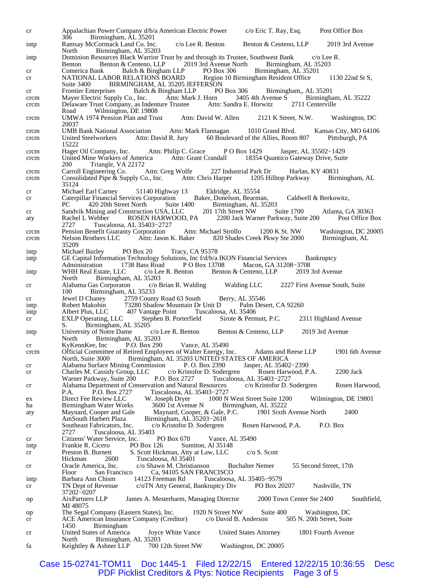cr Appalachian Power Company d/b/a American Electric Power c/o Eric T. Ray, Esq. Post Office Box 306 Birmingham, AL 35201 intp Ramsay McCormack Land Co. Inc. c/o Lee R. Benton Benton & Centeno, LLP 2019 3rd Avenue<br>North Birmingham, AL 35203 Birmingham, AL 35203 intp Dominion Resources Black Warrior Trust by and through its Trustee, Southwest Bank c/o Lee R.<br>Benton Benton & Centeno, LLP 2019 3rd Avenue North Birmingham, AL 35203 Benton Benton & Centeno, LLP 2019 3rd Avenue North Birmingham, AL 35<br>
Comerica Bank Balch & Bingham LLP PO Box 306 Birmingham, AL 35201 cr Comerica Bank Balch & Bingham LLP PO Box 306 Birmingham, AL 352<br>cr NATIONAL LABOR RELATIONS BOARD Region 10 Birmingham Resident Office cr MATIONAL LABOR RELATIONS BOARD Region 10 Birmingham Resident Office 1130 22nd St S,<br>Suite 3400 BIRMINGHAM, AL 35205 JEFFERSON Suite 3400 BIRMINGHAM, AL 35205 JEFFERSON<br>Frontier Enterprises Balch & Bingham LLP PO Box 306 cr Frontier Enterprises Balch & Bingham LLP PO Box 306 Birmingham,, AL 35201 crcm Mayer Electric Supply Co., Inc. Attn: Mark J. Horn 3405 4th Avenue S Birmingham crcm Mayer Electric Supply Co., Inc. Attn: Mark J. Horn 3405 4th Avenue S Birmingham, AL 35222<br>crcm Delaware Trust Company, as Indenture Trustee Attn: Sandra E. Horwitz 2711 Centerville crcm Delaware Trust Company, as Indenture Trustee Road Wilmington, DE 19808 crcm UMWA 1974 Pension Plan and Trust Attn: David W. Allen 2121 K Street, N.W. Washington, DC 20037 crcm UMB Bank National Association Attn: Mark Flannagan 1010 Grand Blvd. Kansas City, MO 64106 crcm United Steelworkers Attn: David R. Jury 60 Boulevard of the Allies, Room 807 Pittsburgh, PA 15222<br>Hager Oil Company, Inc. crcm Hager Oil Company, Inc. Attn: Philip C. Grace P O Box 1429 Jasper, AL 35502−1429 crcm United Mine Workers of America Attn: Grant Crandall 18354 Quantico Gateway Drive, Suite 200 Triangle, VA 22172<br>Carroll Engineering Co. Attn: Greg Wolfe crcm Carroll Engineering Co. Attn: Greg Wolfe 227 Industrial Park Dr Harlan, KY 40831 crcm Consolidated Pipe & Supply Co., Inc. Attn: Chris Harper 1205 Hilltop Parkway Birmingham, AL 35124 cr Michael Earl Carney 51140 Highway 13 Eldridge, AL 35554 cr Caterpillar Financial Services Corporation Baker, Donelson, Bearman, Caldwell & Berkowitz,<br>PC 420 20th Street North Suite 1400 Birmingham, AL 35203 Birmingham, AL 35203<br>201 17th Street NW Suite 1700 cr Sandvik Mining and Construction USA, LLC 201 17th Street NW Suite 1700 Atlanta, GA 30363<br>aty Rachel L Webber ROSEN HARWOOD, PA 2200 Jack Warner Parkway, Suite 200 Post Office Box aty Rachel L Webber ROSEN HARWOOD, PA 2200 Jack Warner Parkway, Suite 200<br>2727 Tuscaloosa, AL 35403-2727 2727 Tuscaloosa, AL 35403−2727 crcm Pension Benefit Guaranty Corporation Attn: Michael Strollo 1200 K St. NW Washington, DC 20005 crcm Nelson Brothers LLC Attn: Jason K. Baker 820 Shades Creek Pkwy Ste 2000 Birmingham, AL 35209<br>Michael Bazley intp Michael Bazley PO Box 20 Tracy, CA 95378<br>intp GE Capital Information Technology Solutions, Inc f/d/b/a GE Capital Information Technology Solutions, Inc f/d/b/a IKON Financial Services Bankruptcy Administration 1738 Bass Road P O Box 13708 Macon, GA 31208–3708 VHH Real Estate, LLC c/o Lee R. Benton Benton & Centeno, LLP 2019 3rd Avenue intp WHH Real Estate, LLC c/o Lee R. Benton Benton & Centeno, LLP North Birmingham, AL 35203<br>Alabama Gas Corporaton c/o Brian R. Walding cr Alabama Gas Corporaton c/o Brian R. Walding Walding LLC 2227 First Avenue South, Suite 100 Birmingham, AL 35233<br>Jewel D Chaney 2759 Count cr Jewel D Chaney 2759 County Road 63 South Berry, AL 35546<br>intp Robert Makohin 73280 Shadow Mountain Dr Unit D Palm Desert, CA 92260 intp Robert Makohin 73280 Shadow Mountain Dr Unit D<br>
intp Albert Plus, LLC 407 Vantage Point Tuscaloos Tuscaloosa, AL 35406 cr EXLP Operating, LLC Stephen B. Porterfield Sirote & Permutt, P.C. 2311 Highland Avenue S. Birmingham, AL 35205<br>University of Notre Dame c/o Lee R. Benton intp University of Notre Dame c/o Lee R. Benton Benton & Centeno, LLP 2019 3rd Avenue North Birmingham, AL 35203<br>KyKennKee, Inc P.O. Box 290 cr KyKennKee, Inc P.O. Box 290 Vance, AL 35490 crcm Official Committee of Retired Employees of Walter Energy, Inc. Adams and Reese LLP 1901 6th Avenue Birmingham, AL 35203 UNITED STATES OF AMERICA cr Alabama Surface Mining Commission P. O. Box 2390 Jasper, AL 35402–2390<br>cr Charles M. Cassidy Group, LLC c/o Kristofor D. Sodergren Rosen Harwood, P.A. cr Charles M. Cassidy Group, LLC c/o Kristofor D. Sodergren Rosen Harwood, P.A. 2200 Jack<br>Warner Parkway, Suite 200 P.O. Box 2727 Tuscaloosa, AL 35403–2727 Warner Parkway, Suite 200 P.O. Box 2727 Tuscaloosa, AL 35403–2727<br>Alabama Department of Conservation and Natural Resources c/o Kristofor D. Sodergren cr Alabama Department of Conservation and Natural Resources c/o Kristofor D. Sodergren Rosen Harwood, P.A. P.O. Box 2727 Tuscaloosa, AL 35403−2727 ex Direct Fee Review LLC W. Joseph Dryer 1000 N West Street Suite 1200 Wilmington, DE 19801<br>ba Birmingham Water Works 3600 1st Avenue N Birmingham, AL 35222 ba Birmingham Water Works 3600 1st Avenue N Birmingham, AL 35222<br>aty Maynard, Cooper and Gale Maynard, Cooper, & Gale, P.C. 1901 Sixth Avenue North aty Maynard, Cooper and Gale Maynard, Cooper, & Gale, P.C. 1901 Sixth Avenue North 2400<br>AmSouth Harbert Plaza Birmingham, AL 35203-2618 Birmingham, AL 35203−2618 cr Southeast Fabricators, Inc. c/o Kristofor D. Sodergren Rosen Harwood, P.A. P.O. Box Tuscaloosa, AL 35403 cr Citizens' Water Service, Inc. PO Box 670 Vance, AL 35490<br>intp Frankie R. Cicero PO Box 126 Sumiton, Al 35148 intp Frankie R. Cicero PO Box 126 Sumiton, Al 35148<br>cr Preston B. Burnett S. Scott Hickman, Atty at Law, LLC cr Preston B. Burnett S. Scott Hickman, Atty at Law, LLC c/o S. Scott<br>Hickman 2600 Tuscaloosa, Al 35401 Hickman 2600 Tuscaloosa, Al 35401<br>Oracle America, Inc. c/o Shawn M. Christia cr Oracle America, Inc. c/o Shawn M. Christianson Buchalter Nemer 55 Second Street, 17th Ca, 94105 SAN FRANCISCO intp Barbara Ann Chism 14123 Freeman Rd Tuscaloosa, AL 35405−9579 cr TN Dept of Revenue c/oTN Atty General, Bankruptcy Div PO Box 20207 Nashville, TN 37202−0207 op AixPartners LLP James A. Mesterharm, Managing Director 2000 Town Center Ste 2400 Southfield, MI 48075 op The Segal Company (Eastern States), Inc. 1920 N Street NW Suite 400 Washington, DC cr ACE American Insurance Company (Creditor) c/o David B. Anderson 505 N. 20th Street, Suite **Birmingham** cr United States of America Joyce White Vance United States Attorney 1801 Fourth Avenue North Birmingham, AL 35203<br>Keightley & Ashner LLP 700 12th Street NW fa Keightley & Ashner LLP 700 12th Street NW Washington, DC 20005

Case 15-02741-TOM11 Doc 1445-1 Filed 12/22/15 Entered 12/22/15 10:36:55 Desc PDF Picklist Creditors & Ptys: Notice Recipients Page 3 of 5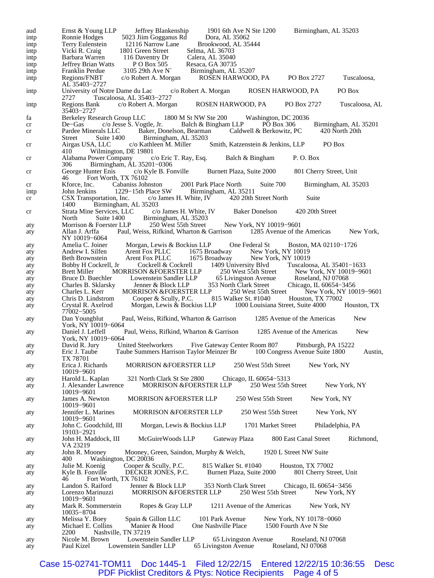| aud        | Ernst & Young LLP<br>Jeffrey Blankenship<br>1901 6th Ave N Ste 1200<br>Birmingham, AL 35203                                                                                                |
|------------|--------------------------------------------------------------------------------------------------------------------------------------------------------------------------------------------|
| intp       | 5023 Jiim Gogganus Rd<br>Ronnie Hodges<br>Dora, AL 35062                                                                                                                                   |
| intp       | 12116 Narrow Lane<br>Brookwood, AL 35444<br>Terry Eulenstein                                                                                                                               |
| ıntp       | Selma, AL 36703<br>1801 Green Street<br>Vicki R. Craig                                                                                                                                     |
| intp       | 116 Daventry Dr<br>Barbara Warren<br>Calera, AL 35040                                                                                                                                      |
| ıntp       | P O Box 505<br>Resaca, GA 30735<br>3105 29th Ave N Birmingham, AL 35207<br>Jeffrey Brian Watts                                                                                             |
| intp       | Franklin Perdue                                                                                                                                                                            |
| ıntp       | Regions/FNBT<br>ROSEN HARWOOD, PA PO Box 2727<br>c/o Robert A. Morgan<br>Tuscaloosa,<br>AL 35403-2727                                                                                      |
| ıntp       | PO Box<br>University of Notre Dame du Lac<br>c/o Robert A. Morgan<br>ROSEN HARWOOD, PA<br>Tuscaloosa, AL 35403-2727<br>2727 —                                                              |
| intp       | c/o Robert A. Morgan<br><b>Regions Bank</b><br>ROSEN HARWOOD, PA<br>PO Box 2727<br>Tuscaloosa, AL<br>35403–2727                                                                            |
| fa         | Berkeley Research Group LLC 1800 M St NW Ste 200 Washington, DC 20036                                                                                                                      |
| cr         | c/o Jesse S. Vogtle, Jr. Balch & Bingham LLP<br>PO Box 306<br>Birmingham, AL 35201<br>$De-Gas$                                                                                             |
| cr         | Pardee Minerals LLC Baker, Donelson, Bearman Caldwell & Berkowitz, PC<br>420 North 20th<br>Suite 1400 Birmingham, AL 35203<br>Street                                                       |
| cr         | c/o Kathleen M. Miller<br>Smith, Katzenstein & Jenkins, LLP PO Box<br>Airgas USA, LLC<br>Wilmington, DE 19801<br>410-                                                                      |
| cr         | Alabama Power Company c/o Eric T. Ray, Esq.<br>Balch & Bingham<br>P.O. Box<br>Birmingham, AL 35201-0306<br>306                                                                             |
| cr         | George Hunter Enis c/o Kyle B. Fonville Burnett Plaza, Suite 2000<br>801 Cherry Street, Unit<br>Fort Worth, TX 76102<br>46                                                                 |
| cr         | Suite 700<br>Kforce, Inc. Cabaniss Johnston<br>2001 Park Place North<br>Birmingham, AL 35203                                                                                               |
| ıntp       | 1229–15th Place SW<br>John Jenkins<br>Birmingham, AL 35211                                                                                                                                 |
| cr         | $c/\text{o}$ James H. White, IV 420 20th Street North<br>CSX Transportation, Inc.<br>Suite<br>Birmingham, AL 35203<br>1400                                                                 |
| cr         | Strata Mine Services, LLC c/o James H. White, IV Baker Donelson<br>420 20th Street                                                                                                         |
| aty        | North Suite 1400 Birmingham, AL 35203<br>Morrison & Foerster LLP 250 West 55th Street New York, NY 10019-9601                                                                              |
| aty        | Paul, Weiss, Rifkind, Wharton & Garrison 1285 Avenue of the Americas<br>Allan J. Arffa<br>New York,<br>NY 10019-6064                                                                       |
| aty        | Amelia C. Joiner<br>Morgan, Lewis & Bockius LLP<br>One Federal St<br>Boston, MA 02110-1726                                                                                                 |
| aty        | Andrew I. Silfen<br>Arent Fox PLLC                                                                                                                                                         |
| aty        | 1675 Broadway New York, NY 10019<br>1675 Broadway New York, NY 10019<br>Arent Fox PLLC<br>Beth Brownstein                                                                                  |
| aty        | Cockrell & Cockrell 1409 University Blvd<br>Bobby H Cockrell, Jr<br>Tuscaloosa, AL 35401-1633                                                                                              |
| aty        | MORRISON &FOERSTER LLP<br><b>Brett Miller</b>                                                                                                                                              |
| aty        | Bruce D. Buechler                                                                                                                                                                          |
| aty        | 250 West 55th Street<br>65 Livingston Avenue Roseland, NJ 07068<br>353 North Clark Street Chicago, IL 60654–3456<br>Lowenstein Sandler LLP<br>Jenner & Block LLP 35<br>Charles B. Sklarsky |
| aty        | MORRISON &FOERSTER LLP<br>250 West 55th Street<br>New York, NY 10019-9601<br>Charles L. Kerr                                                                                               |
| aty        | Cooper & Scully, P.C. 815 Walker St. #1040 Houston, TX 77002<br>Chris D. Lindstrom                                                                                                         |
| aty        | Morgan, Lewis & Bockius LLP 1000 Louisiana Street, Suite 4000<br>Houston, TX<br>Crystal R. Axelrod<br>77002-5005                                                                           |
| aty        | <b>New</b><br>Dan Youngblut<br>Paul, Weiss, Rifkind, Wharton & Garrison<br>1285 Avenue of the Americas<br>York, NY 10019-6064                                                              |
| aty        | <b>New</b><br>Daniel J. Leffell<br>Paul, Weiss, Rifkind, Wharton & Garrison<br>1285 Avenue of the Americas<br>York, NY 10019-6064                                                          |
| aty        | United Steelworkers<br>Five Gateway Center Room 807<br>David R. Jury<br>Pittsburgh, PA 15222                                                                                               |
| aty        | Taube Summers Harrison Taylor Meinzer Br 100 Congress Avenue Suite 1800<br>Eric J. Taube<br>Austin,<br>TX 78701                                                                            |
| aty        | Erica J. Richards<br><b>MORRISON &amp;FOERSTER LLP</b><br>250 West 55th Street<br>New York, NY<br>10019-9601                                                                               |
| aty<br>aty | Harold L. Kaplan<br>321 North Clark St Ste 2800<br>Chicago, IL 60654-5313<br><b>MORRISON &amp;FOERSTER LLP</b><br>250 West 55th Street<br>J. Alexander Lawrence<br>New York, NY            |
| aty        | 10019-9601<br><b>MORRISON &amp;FOERSTER LLP</b><br>250 West 55th Street<br>James A. Newton<br>New York, NY                                                                                 |
| aty        | 10019-9601<br><b>MORRISON &amp;FOERSTER LLP</b><br>250 West 55th Street<br>Jennifer L. Marines<br>New York, NY                                                                             |
| aty        | 10019-9601<br>John C. Goodchild, III<br>Morgan, Lewis & Bockius LLP<br>1701 Market Street<br>Philadelphia, PA                                                                              |
| aty        | 19103-2921<br>800 East Canal Street<br>McGuireWoods LLP<br>Gateway Plaza<br>Richmond,<br>John H. Maddock, III                                                                              |
| aty        | VA 23219<br>1920 L Street NW Suite<br>John R. Mooney<br>Mooney, Green, Saindon, Murphy & Welch,                                                                                            |
|            | Washington, DC 20036<br>400<br>815 Walker St. #1040<br>Houston, TX 77002                                                                                                                   |
| aty        | Cooper & Scully, P.C.<br>Julie M. Koenig                                                                                                                                                   |
| aty        | Kyle B. Fonville<br>Burnett Plaza, Suite 2000<br>DECKER JONES, P.C.<br>801 Cherry Street, Unit<br>Fort Worth, TX 76102<br>46                                                               |
| aty        | Jenner & Block LLP<br>353 North Clark Street<br>Landon S. Raiford<br>Chicago, IL 60654–3456                                                                                                |
| aty        | 250 West 55th Street<br>Lorenzo Marinuzzi<br><b>MORRISON &amp;FOERSTER LLP</b><br>New York, NY<br>10019-9601                                                                               |
| aty        | Ropes & Gray LLP<br>1211 Avenue of the Americas<br>New York, NY<br>Mark R. Sommerstein<br>10035-8704                                                                                       |
| aty        | 101 Park Avenue<br>New York, NY 10178-0060<br>Melissa Y. Boey<br>Spain & Gillon LLC                                                                                                        |
| aty        | Manier & Hood<br>One Nashville Place<br>1500 Fourth Ave N Ste<br>Michael E. Collins<br>Nashville, TN 37219<br>2200                                                                         |
| aty        | Nicole M. Brown<br>Lowenstein Sandler LLP<br>65 Livingston Avenue<br>Roseland, NJ 07068                                                                                                    |
| aty        | Paul Kizel<br>Lowenstein Sandler LLP<br>65 Livingston Avenue<br>Roseland, NJ 07068                                                                                                         |

Case 15-02741-TOM11 Doc 1445-1 Filed 12/22/15 Entered 12/22/15 10:36:55 Desc PDF Picklist Creditors & Ptys: Notice Recipients Page 4 of 5